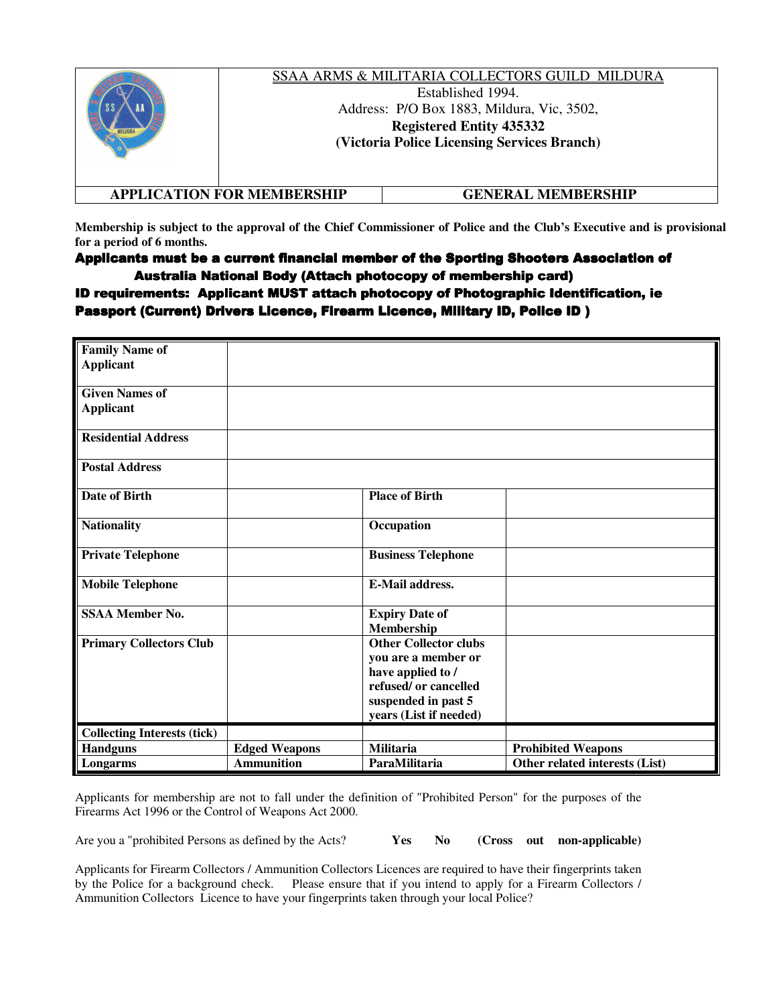|                                   | SSAA ARMS & MILITARIA COLLECTORS GUILD MILDURA<br>Established 1994.<br>Address: P/O Box 1883, Mildura, Vic, 3502,<br><b>Registered Entity 435332</b><br>(Victoria Police Licensing Services Branch) |
|-----------------------------------|-----------------------------------------------------------------------------------------------------------------------------------------------------------------------------------------------------|
| <b>APPLICATION FOR MEMBERSHIP</b> | GENERAL MEMBERSHIP                                                                                                                                                                                  |

**Membership is subject to the approval of the Chief Commissioner of Police and the Club's Executive and is provisional for a period of 6 months.** 

Applicants must be a current financial member of the Sporting Shooters Association of Australia National Body (Attach photocopy of membership card)

ID requirements: Applicant MUST attach photocopy of Photographic Identification, ie Passport (Current) Drivers Licence, Firearm Licence, Military ID, Police ID )

| <b>Family Name of</b>              |                      |                              |                                |
|------------------------------------|----------------------|------------------------------|--------------------------------|
| <b>Applicant</b>                   |                      |                              |                                |
| <b>Given Names of</b>              |                      |                              |                                |
|                                    |                      |                              |                                |
| <b>Applicant</b>                   |                      |                              |                                |
| <b>Residential Address</b>         |                      |                              |                                |
| <b>Postal Address</b>              |                      |                              |                                |
| <b>Date of Birth</b>               |                      | <b>Place of Birth</b>        |                                |
| <b>Nationality</b>                 |                      | Occupation                   |                                |
| <b>Private Telephone</b>           |                      | <b>Business Telephone</b>    |                                |
| <b>Mobile Telephone</b>            |                      | <b>E-Mail address.</b>       |                                |
| <b>SSAA Member No.</b>             |                      | <b>Expiry Date of</b>        |                                |
|                                    |                      | Membership                   |                                |
| <b>Primary Collectors Club</b>     |                      | <b>Other Collector clubs</b> |                                |
|                                    |                      | you are a member or          |                                |
|                                    |                      | have applied to /            |                                |
|                                    |                      | refused/or cancelled         |                                |
|                                    |                      | suspended in past 5          |                                |
|                                    |                      | years (List if needed)       |                                |
| <b>Collecting Interests (tick)</b> |                      |                              |                                |
| <b>Handguns</b>                    | <b>Edged Weapons</b> | <b>Militaria</b>             | <b>Prohibited Weapons</b>      |
| Longarms                           | <b>Ammunition</b>    | ParaMilitaria                | Other related interests (List) |

Applicants for membership are not to fall under the definition of "Prohibited Person" for the purposes of the Firearms Act 1996 or the Control of Weapons Act 2000.

Are you a "prohibited Persons as defined by the Acts? **Yes No (Cross out non-applicable)**

Applicants for Firearm Collectors / Ammunition Collectors Licences are required to have their fingerprints taken by the Police for a background check. Please ensure that if you intend to apply for a Firearm Collectors / Ammunition Collectors Licence to have your fingerprints taken through your local Police?